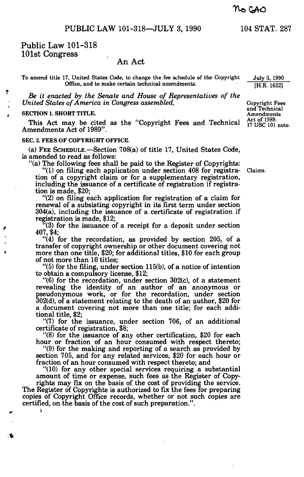PUBLIC LAW 101-318—JULY 3, 1990 104 STAT. 287

Public Law 101-318 101st Congress

## An Act

To amend title 17, United States Code, to change the fee schedule of the Copyright Office, and to make certain technical amendments.

*Be it enacted by the Senate and House of Representatives of the United States of America in Congress assembled,* 

## **SECTION 1. SHORT TITLE.**

ŧ

**%** 

This Act may be cited as the "Copyright Fees and Technical Amendments Act of 1989".

## **SEC. 2. FEES OF COPYRIGHT OFFICE.**

(a) FEE SCHEDULE.—Section 708(a) of title 17, United States Code, is amended to read as follows:

"(a) The following fees shall be paid to the Register of Copyrights:

"(1) on filing each application under section 408 for registra- Claims. tion of a copyright claim or for a supplementary registration, including the issuance of a certificate of registration if registration is made, \$20;

"(2) on filing each application for registration of a claim for renewal of a subsisting copyright in its first term under section 304(a), including the issuance of a certificate of registration if registration is made, \$12;

'(3) for the issuance of a receipt for a deposit under section 407, \$4;

"(4) for the recordation, as provided by section 205, of a transfer of copyright ownership or other document covering not more than one title, \$20; for additional titles, \$10 for each group of not more than 10 titles;

"(5) for the filing, under section 115(b), of a notice of intention to obtain a compulsory license, \$12;

"(6) for the recordation, under section 302(c), of a statement revealing the identity of an author of an anonymous or pseudonymous work, or for the recordation, under section 302(d), of a statement relating to the death of an author, \$20 for a document covering not more than one title; for each additional title, \$2;

"(7) for the issuance, under section 706, of an additional certificate of registration, \$8;

"(8) for the issuance of any other certification, \$20 for each hour or fraction of an hour consumed with respect thereto;

"(9) for the making and reporting of a search as provided by section 705, and for any related services, \$20 for each hour or fraction of an hour consumed with respect thereto; and

"(10) for any other special services requiring a substantial amount of time or expense, such fees as the Register of Copyrights may fix on the basis of the cost of providing the service. The Register of Copyrights is authorized to fix the fees for preparing

copies of Copyright Office records, whether or not such copies are certified, on the basis of the cost of such preparation.".

July 3, 1990 [H.R. 1622]

Copyright Fees and Technical Amendments Act of 1989. 17 USC 101 note.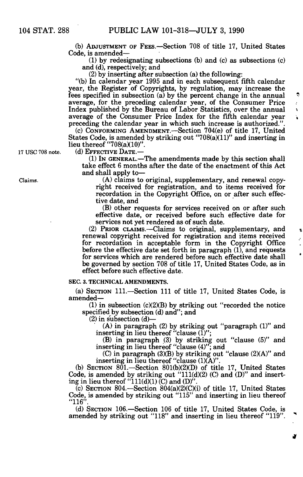(b) ADJUSTMENT OF FEES.—Section 708 of title 17, United States Code, is amended—

(1) by redesignating subsections (b) and (c) as subsections (c) and (d), respectively; and

(2) by inserting after subsection (a) the following:

"(b) In calendar year 1995 and in each subsequent fifth calendar year, the Register of Copyrights, by regulation, may increase the fees specified in subsection (a) by the percent change in the annual average, for the preceding calendar year, of the Consumer Price Index published by the Bureau of Labor Statistics, over the annual average of the Consumer Price Index for the fifth calendar year preceding the calendar year in which such increase is authorized."

(c) CONFORMING AMENDMENT.—Section 704(e) of title 17, United States Code, is amended by striking out "708(a)(ll)" and inserting in lieu thereof "708(a)(10)".

**17 USC 708 note. (d) EFFECTIVE DATE.—** 

(1) IN GENERAL.—The amendments made by this section shall take effect 6 months after the date of the enactment of this Act and shall apply to—

Claims. (A) claims to original, supplementary, and renewal copyright received for registration, and to items received for recordation in the Copyright Office, on or after such effective date, and

(B) other requests for services received on or after such effective date, or received before such effective date for services not yet rendered as of such date.

(2) PRIOR CLAIMS.—Claims to original, supplementary, and renewal copyright received for registration and items received for recordation in acceptable form in the Copyright Office before the effective date set forth in paragraph (1), and requests for services which are rendered before such effective date shall be governed by section 708 of title 17, United States Code, as in effect before such effective date.

**SEC. 3. TECHNICAL AMENDMENTS.** 

(a) SECTION 111.—Section 111 of title 17, United States Code, is amended—

 $(1)$  in subsection  $(c)(2)(B)$  by striking out "recorded the notice specified by subsection (d) and"; and

(2) in subsection (d)—

(A) in paragraph (2) by striking out "paragraph (1)" and inserting in lieu thereof "clause (1)";

(B) in paragraph (3) by striking out "clause (5)" and inserting in lieu thereof "clause (4)"; and

(C) in paragraph (3)(B) by striking out "clause (2)(A)" and inserting in lieu thereof "clause  $(1)(A)$ "

(b) SECTION 801.—Section 801(b)(2)(D) of title 17, United States Code, is amended by striking out " $111(d)(2)$  (C) and (D)" and inserting in lieu thereof "111(d)(1) (C) and (D)".

 $\overline{c}$ ) SECTION 804.—Section 804(a)(2)(C)(i) of title 17, United States Code, is amended by striking out "115" and inserting in lieu thereof "116".

(d) SECTION 106— Section 106 of title 17, United States Code, is amended by striking out "118" and inserting in lieu thereof "119".

ę  $\ddot{\cdot}$  $\mathbf{I}$